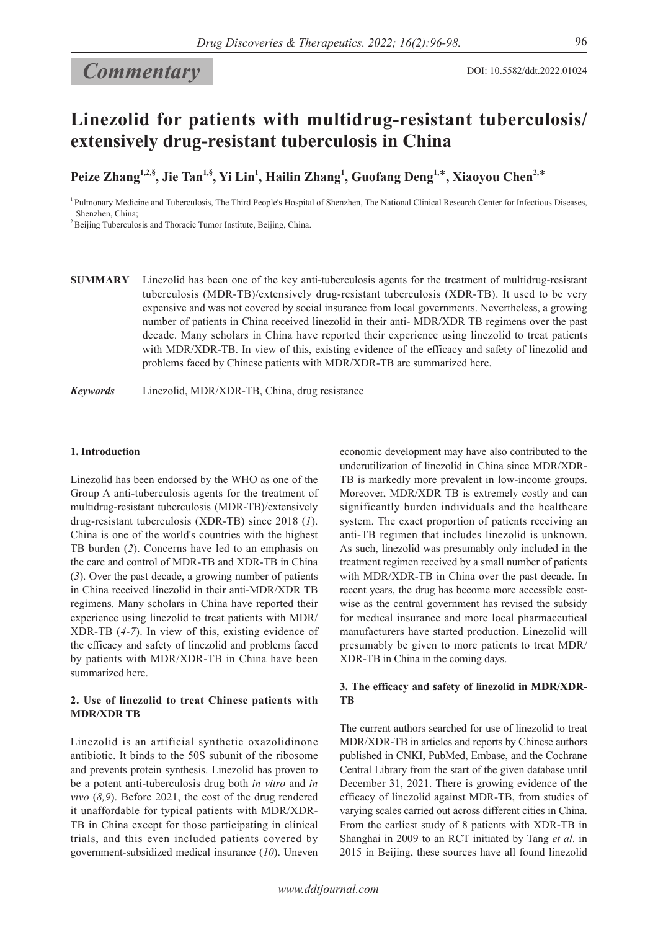# *Commentary*

# **Linezolid for patients with multidrug-resistant tuberculosis/ extensively drug-resistant tuberculosis in China**

**Peize Zhang1,2,§ , Jie Tan1,§ , Yi Lin1 , Hailin Zhang1 , Guofang Deng1,**\***, Xiaoyou Chen2,**\*

<sup>1</sup> Pulmonary Medicine and Tuberculosis, The Third People's Hospital of Shenzhen, The National Clinical Research Center for Infectious Diseases, Shenzhen, China;

<sup>2</sup> Beijing Tuberculosis and Thoracic Tumor Institute, Beijing, China.

**SUMMARY** Linezolid has been one of the key anti-tuberculosis agents for the treatment of multidrug-resistant tuberculosis (MDR-TB)/extensively drug-resistant tuberculosis (XDR-TB). It used to be very expensive and was not covered by social insurance from local governments. Nevertheless, a growing number of patients in China received linezolid in their anti- MDR/XDR TB regimens over the past decade. Many scholars in China have reported their experience using linezolid to treat patients with MDR/XDR-TB. In view of this, existing evidence of the efficacy and safety of linezolid and problems faced by Chinese patients with MDR/XDR-TB are summarized here.

*Keywords* Linezolid, MDR/XDR-TB, China, drug resistance

#### **1. Introduction**

Linezolid has been endorsed by the WHO as one of the Group A anti-tuberculosis agents for the treatment of multidrug-resistant tuberculosis (MDR-TB)/extensively drug-resistant tuberculosis (XDR-TB) since 2018 (*1*). China is one of the world's countries with the highest TB burden (*2*). Concerns have led to an emphasis on the care and control of MDR-TB and XDR-TB in China (*3*). Over the past decade, a growing number of patients in China received linezolid in their anti-MDR/XDR TB regimens. Many scholars in China have reported their experience using linezolid to treat patients with MDR/ XDR-TB (*4-7*). In view of this, existing evidence of the efficacy and safety of linezolid and problems faced by patients with MDR/XDR-TB in China have been summarized here.

### **2. Use of linezolid to treat Chinese patients with MDR/XDR TB**

Linezolid is an artificial synthetic oxazolidinone antibiotic. It binds to the 50S subunit of the ribosome and prevents protein synthesis. Linezolid has proven to be a potent anti-tuberculosis drug both *in vitro* and *in vivo* (*8,9*). Before 2021, the cost of the drug rendered it unaffordable for typical patients with MDR/XDR-TB in China except for those participating in clinical trials, and this even included patients covered by government-subsidized medical insurance (*10*). Uneven

economic development may have also contributed to the underutilization of linezolid in China since MDR/XDR-TB is markedly more prevalent in low-income groups. Moreover, MDR/XDR TB is extremely costly and can significantly burden individuals and the healthcare system. The exact proportion of patients receiving an anti-TB regimen that includes linezolid is unknown. As such, linezolid was presumably only included in the treatment regimen received by a small number of patients with MDR/XDR-TB in China over the past decade. In recent years, the drug has become more accessible costwise as the central government has revised the subsidy for medical insurance and more local pharmaceutical manufacturers have started production. Linezolid will presumably be given to more patients to treat MDR/ XDR-TB in China in the coming days.

### **3. The efficacy and safety of linezolid in MDR/XDR-TB**

The current authors searched for use of linezolid to treat MDR/XDR-TB in articles and reports by Chinese authors published in CNKI, PubMed, Embase, and the Cochrane Central Library from the start of the given database until December 31, 2021. There is growing evidence of the efficacy of linezolid against MDR-TB, from studies of varying scales carried out across different cities in China. From the earliest study of 8 patients with XDR-TB in Shanghai in 2009 to an RCT initiated by Tang *et al*. in 2015 in Beijing, these sources have all found linezolid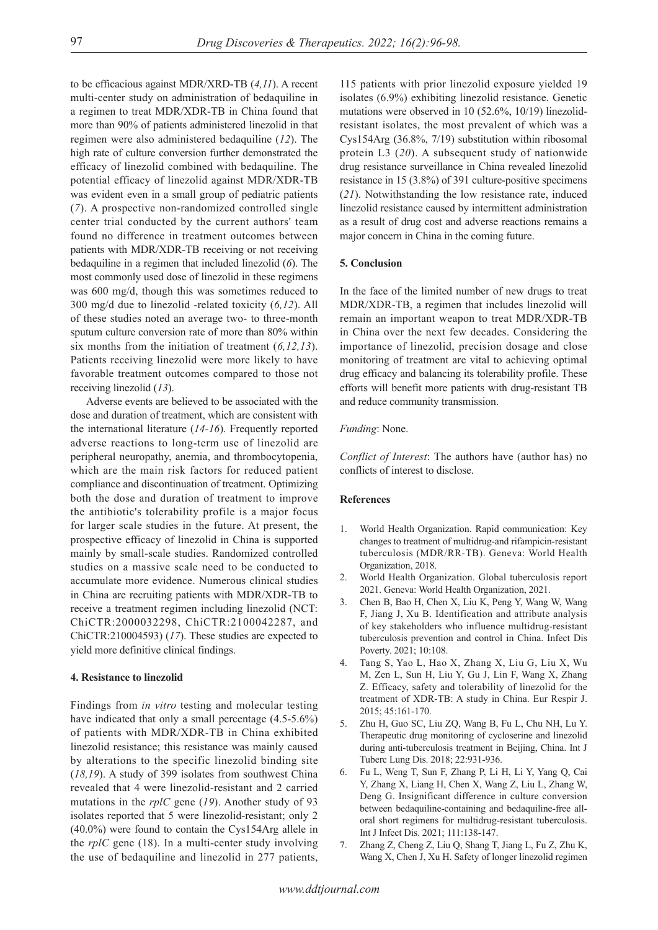to be efficacious against MDR/XRD-TB (*4,11*). A recent multi-center study on administration of bedaquiline in a regimen to treat MDR/XDR-TB in China found that more than 90% of patients administered linezolid in that regimen were also administered bedaquiline (*12*). The high rate of culture conversion further demonstrated the efficacy of linezolid combined with bedaquiline. The potential efficacy of linezolid against MDR/XDR-TB was evident even in a small group of pediatric patients (*7*). A prospective non-randomized controlled single center trial conducted by the current authors' team found no difference in treatment outcomes between patients with MDR/XDR-TB receiving or not receiving bedaquiline in a regimen that included linezolid (*6*). The most commonly used dose of linezolid in these regimens was 600 mg/d, though this was sometimes reduced to 300 mg/d due to linezolid -related toxicity (*6,12*). All of these studies noted an average two- to three-month sputum culture conversion rate of more than 80% within six months from the initiation of treatment (*6,12,13*). Patients receiving linezolid were more likely to have favorable treatment outcomes compared to those not receiving linezolid (*13*).

Adverse events are believed to be associated with the dose and duration of treatment, which are consistent with the international literature (*14-16*). Frequently reported adverse reactions to long-term use of linezolid are peripheral neuropathy, anemia, and thrombocytopenia, which are the main risk factors for reduced patient compliance and discontinuation of treatment. Optimizing both the dose and duration of treatment to improve the antibiotic's tolerability profile is a major focus for larger scale studies in the future. At present, the prospective efficacy of linezolid in China is supported mainly by small-scale studies. Randomized controlled studies on a massive scale need to be conducted to accumulate more evidence. Numerous clinical studies in China are recruiting patients with MDR/XDR-TB to receive a treatment regimen including linezolid (NCT: ChiCTR:2000032298, ChiCTR:2100042287, and ChiCTR:210004593) (*17*). These studies are expected to yield more definitive clinical findings.

#### **4. Resistance to linezolid**

Findings from *in vitro* testing and molecular testing have indicated that only a small percentage (4.5-5.6%) of patients with MDR/XDR-TB in China exhibited linezolid resistance; this resistance was mainly caused by alterations to the specific linezolid binding site (*18,19*). A study of 399 isolates from southwest China revealed that 4 were linezolid-resistant and 2 carried mutations in the *rplC* gene (*19*). Another study of 93 isolates reported that 5 were linezolid-resistant; only 2 (40.0%) were found to contain the Cys154Arg allele in the *rplC* gene (18). In a multi-center study involving the use of bedaquiline and linezolid in 277 patients, 115 patients with prior linezolid exposure yielded 19 isolates (6.9%) exhibiting linezolid resistance. Genetic mutations were observed in 10 (52.6%, 10/19) linezolidresistant isolates, the most prevalent of which was a Cys154Arg (36.8%, 7/19) substitution within ribosomal protein L3 (*20*). A subsequent study of nationwide drug resistance surveillance in China revealed linezolid resistance in 15 (3.8%) of 391 culture-positive specimens (*21*). Notwithstanding the low resistance rate, induced linezolid resistance caused by intermittent administration as a result of drug cost and adverse reactions remains a major concern in China in the coming future.

#### **5. Conclusion**

In the face of the limited number of new drugs to treat MDR/XDR-TB, a regimen that includes linezolid will remain an important weapon to treat MDR/XDR-TB in China over the next few decades. Considering the importance of linezolid, precision dosage and close monitoring of treatment are vital to achieving optimal drug efficacy and balancing its tolerability profile. These efforts will benefit more patients with drug-resistant TB and reduce community transmission.

#### *Funding*: None.

*Conflict of Interest*: The authors have (author has) no conflicts of interest to disclose.

## **References**

- 1. World Health Organization. Rapid communication: Key changes to treatment of multidrug‐and rifampicin‐resistant tuberculosis (MDR/RR‐TB). Geneva: World Health Organization, 2018.
- 2. World Health Organization. Global tuberculosis report 2021. Geneva: World Health Organization, 2021.
- 3. Chen B, Bao H, Chen X, Liu K, Peng Y, Wang W, Wang F, Jiang J, Xu B. Identification and attribute analysis of key stakeholders who influence multidrug-resistant tuberculosis prevention and control in China. Infect Dis Poverty. 2021; 10:108.
- 4. Tang S, Yao L, Hao X, Zhang X, Liu G, Liu X, Wu M, Zen L, Sun H, Liu Y, Gu J, Lin F, Wang X, Zhang Z. Efficacy, safety and tolerability of linezolid for the treatment of XDR-TB: A study in China. Eur Respir J. 2015; 45:161-170.
- 5. Zhu H, Guo SC, Liu ZQ, Wang B, Fu L, Chu NH, Lu Y. Therapeutic drug monitoring of cycloserine and linezolid during anti-tuberculosis treatment in Beijing, China. Int J Tuberc Lung Dis. 2018; 22:931-936.
- 6. Fu L, Weng T, Sun F, Zhang P, Li H, Li Y, Yang Q, Cai Y, Zhang X, Liang H, Chen X, Wang Z, Liu L, Zhang W, Deng G. Insignificant difference in culture conversion between bedaquiline-containing and bedaquiline-free alloral short regimens for multidrug-resistant tuberculosis. Int J Infect Dis. 2021; 111:138-147.
- 7. Zhang Z, Cheng Z, Liu Q, Shang T, Jiang L, Fu Z, Zhu K, Wang X, Chen J, Xu H. Safety of longer linezolid regimen